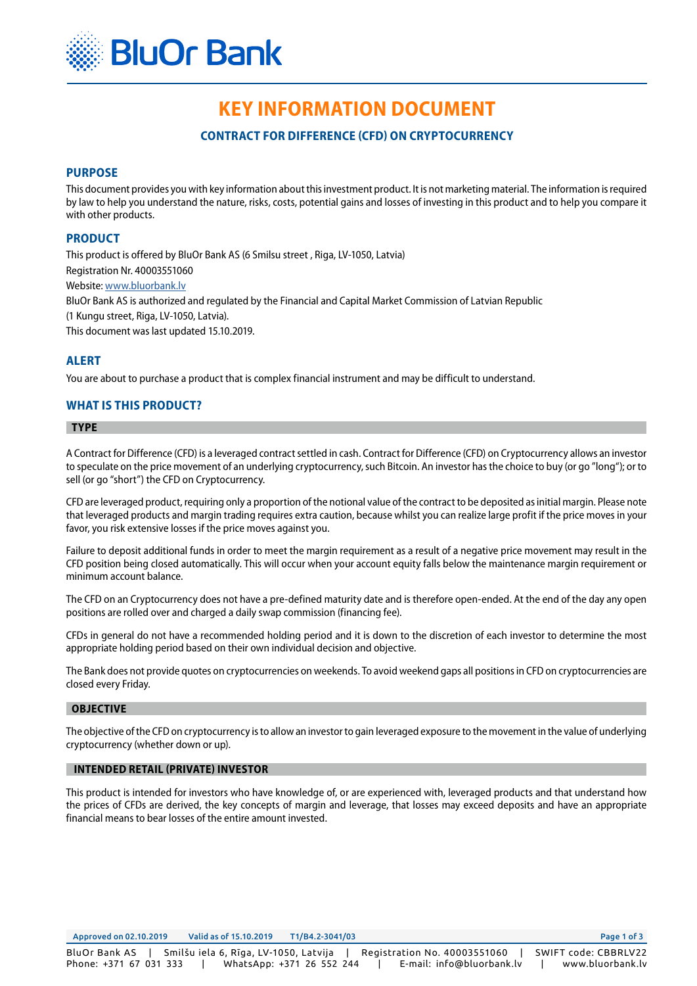

# **KEY INFORMATION DOCUMENT**

# **CONTRACT FOR DIFFERENCE (CFD) ON CRYPTOCURRENCY**

## **PURPOSE**

This document provides you with key information about this investment product. It is not marketing material. The information is required by law to help you understand the nature, risks, costs, potential gains and losses of investing in this product and to help you compare it with other products.

## **PRODUCT**

This product is offered by BluOr Bank AS (6 Smilsu street , Riga, LV-1050, Latvia) Registration Nr. 40003551060 Website: [www.bluorbank.lv](https://www.bluorbank.lv/en/index) BluOr Bank AS is authorized and regulated by the Financial and Capital Market Commission of Latvian Republic (1 Kungu street, Riga, LV-1050, Latvia). This document was last updated 15.10.2019.

**ALERT**

You are about to purchase a product that is complex financial instrument and may be difficult to understand.

## **WHAT IS THIS PRODUCT?**

#### **TYPE**

A Contract for Difference (CFD) is a leveraged contract settled in cash. Contract for Difference (CFD) on Cryptocurrency allows an investor to speculate on the price movement of an underlying cryptocurrency, such Bitcoin. An investor has the choice to buy (or go "long"); or to sell (or go "short") the CFD on Cryptocurrency.

CFD are leveraged product, requiring only a proportion of the notional value of the contract to be deposited as initial margin. Please note that leveraged products and margin trading requires extra caution, because whilst you can realize large profit if the price moves in your favor, you risk extensive losses if the price moves against you.

Failure to deposit additional funds in order to meet the margin requirement as a result of a negative price movement may result in the CFD position being closed automatically. This will occur when your account equity falls below the maintenance margin requirement or minimum account balance.

The CFD on an Cryptocurrency does not have a pre-defined maturity date and is therefore open-ended. At the end of the day any open positions are rolled over and charged a daily swap commission (financing fee).

CFDs in general do not have a recommended holding period and it is down to the discretion of each investor to determine the most appropriate holding period based on their own individual decision and objective.

The Bank does not provide quotes on cryptocurrencies on weekends. To avoid weekend gaps all positions in CFD on cryptocurrencies are closed every Friday.

#### **OBJECTIVE**

The objective of the CFD on cryptocurrency is to allow an investor to gain leveraged exposure to the movement in the value of underlying cryptocurrency (whether down or up).

#### **INTENDED RETAIL (PRIVATE) INVESTOR**

This product is intended for investors who have knowledge of, or are experienced with, leveraged products and that understand how the prices of CFDs are derived, the key concepts of margin and leverage, that losses may exceed deposits and have an appropriate financial means to bear losses of the entire amount invested.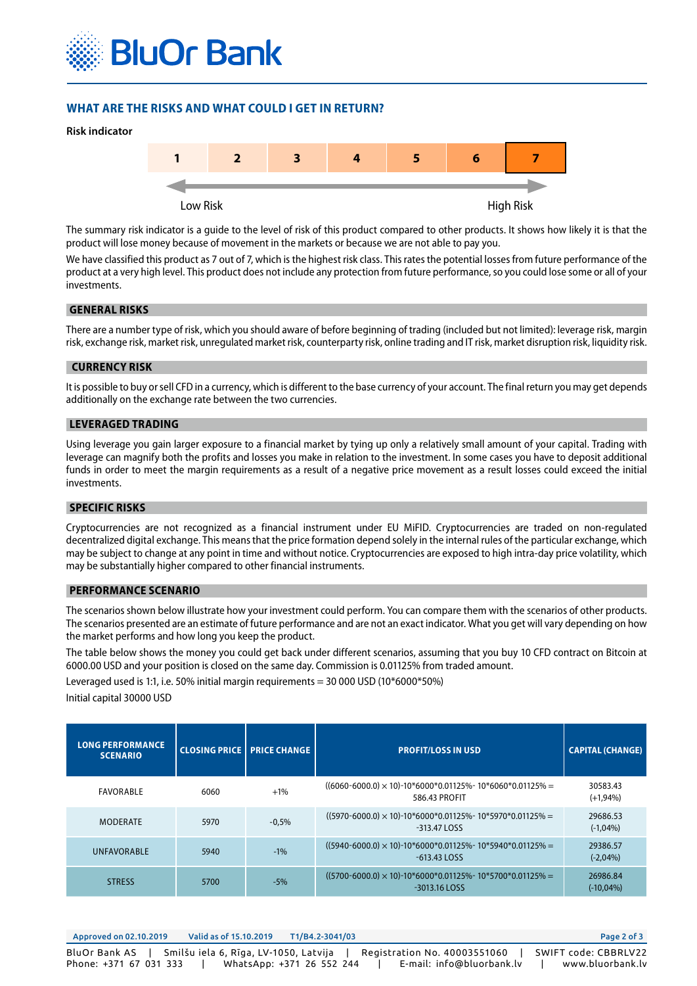

## **WHAT ARE THE RISKS AND WHAT COULD I GET IN RETURN?**





The summary risk indicator is a guide to the level of risk of this product compared to other products. It shows how likely it is that the product will lose money because of movement in the markets or because we are not able to pay you.

We have classified this product as 7 out of 7, which is the highest risk class. This rates the potential losses from future performance of the product at a very high level. This product does not include any protection from future performance, so you could lose some or all of your investments.

#### **GENERAL RISKS**

There are a number type of risk, which you should aware of before beginning of trading (included but not limited): leverage risk, margin risk, exchange risk, market risk, unregulated market risk, counterparty risk, online trading and IT risk, market disruption risk, liquidity risk.

#### **CURRENCY RISK**

It is possible to buy or sell CFD in a currency, which is different to the base currency of your account. The final return you may get depends additionally on the exchange rate between the two currencies.

#### **LEVERAGED TRADING**

Using leverage you gain larger exposure to a financial market by tying up only a relatively small amount of your capital. Trading with leverage can magnify both the profits and losses you make in relation to the investment. In some cases you have to deposit additional funds in order to meet the margin requirements as a result of a negative price movement as a result losses could exceed the initial investments.

## **SPECIFIC RISKS**

Cryptocurrencies are not recognized as a financial instrument under EU MiFID. Cryptocurrencies are traded on non-regulated decentralized digital exchange. This means that the price formation depend solely in the internal rules of the particular exchange, which may be subject to change at any point in time and without notice. Cryptocurrencies are exposed to high intra-day price volatility, which may be substantially higher compared to other financial instruments.

#### **PERFORMANCE SCENARIO**

The scenarios shown below illustrate how your investment could perform. You can compare them with the scenarios of other products. The scenarios presented are an estimate of future performance and are not an exact indicator. What you get will vary depending on how the market performs and how long you keep the product.

The table below shows the money you could get back under different scenarios, assuming that you buy 10 CFD contract on Bitcoin at 6000.00 USD and your position is closed on the same day. Commission is 0.01125% from traded amount.

Leveraged used is 1:1, i.e. 50% initial margin requirements = 30 000 USD (10\*6000\*50%) Initial capital 30000 USD

| <b>LONG PERFORMANCE</b><br><b>SCENARIO</b> | <b>CLOSING PRICE   PRICE CHANGE</b> |         | <b>PROFIT/LOSS IN USD</b>                                                            | <b>CAPITAL (CHANGE)</b> |
|--------------------------------------------|-------------------------------------|---------|--------------------------------------------------------------------------------------|-------------------------|
| FAVORABLE                                  | 6060                                | $+1\%$  | $((6060-6000.0) \times 10)$ -10*6000*0.01125%-10*6060*0.01125% =<br>586.43 PROFIT    | 30583.43<br>$(+1,94%)$  |
| <b>MODERATE</b>                            | 5970                                | $-0.5%$ | $((5970 - 6000.0) \times 10)$ -10*6000*0.01125%-10*5970*0.01125% =<br>$-313.47$ LOSS | 29686.53<br>$(-1,04%)$  |
| <b>UNFAVORABLE</b>                         | 5940                                | $-1\%$  | $((5940-6000.0) \times 10)$ -10*6000*0.01125%-10*5940*0.01125% =<br>$-613.43$ LOSS   | 29386.57<br>$(-2,04%)$  |
| <b>STRESS</b>                              | 5700                                | $-5%$   | $((5700-6000.0) \times 10)$ -10*6000*0.01125%-10*5700*0.01125% =<br>$-3013.16$ LOSS  | 26986.84<br>$(-10,04%)$ |

| Approved on 02.10.2019                                                          | Valid as of 15.10.2019 | T1/B4.2-3041/03                                           | Page 2 of 3                                                           |
|---------------------------------------------------------------------------------|------------------------|-----------------------------------------------------------|-----------------------------------------------------------------------|
| BluOr Bank AS   Smilšu iela 6, Rīga, LV-1050, Latvija<br>Phone: +371 67 031 333 |                        | Registration No. 40003551060<br>WhatsApp: +371 26 552 244 | SWIFT code: CBBRLV22<br>E-mail: info@bluorbank.lv<br>www.bluorbank.lv |